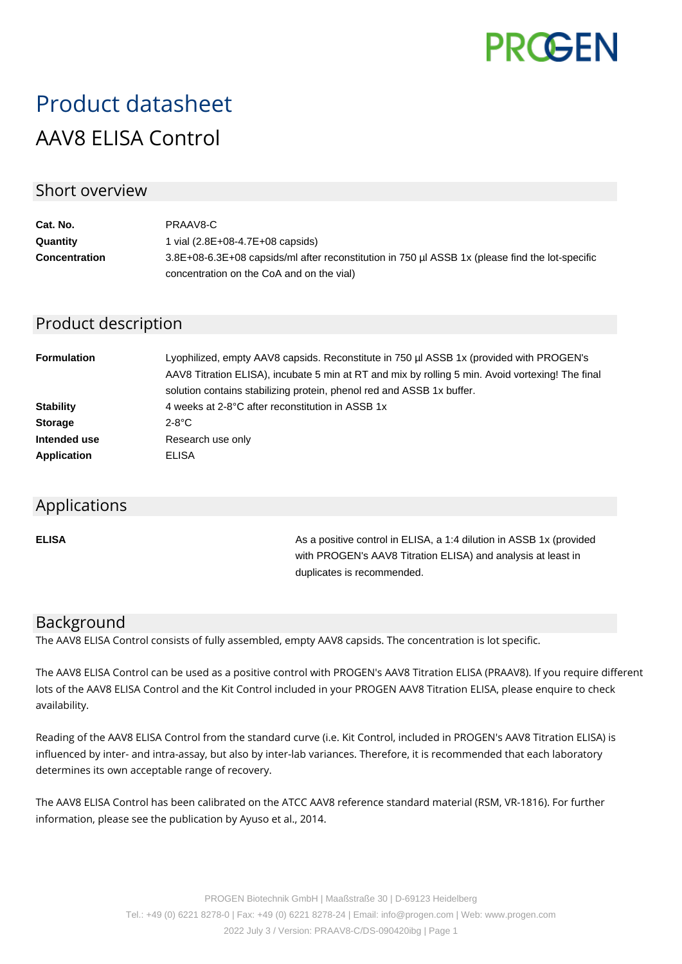

# Product datasheet AAV8 ELISA Control

#### Short overview

| Cat. No.             | PRAAV8-C                                                                                        |
|----------------------|-------------------------------------------------------------------------------------------------|
| Quantity             | 1 vial $(2.8E+08-4.7E+08 \text{ capsids})$                                                      |
| <b>Concentration</b> | 3.8E+08-6.3E+08 capsids/ml after reconstitution in 750 µl ASSB 1x (please find the lot-specific |
|                      | concentration on the CoA and on the vial)                                                       |

### Product description

| <b>Formulation</b> | Lyophilized, empty AAV8 capsids. Reconstitute in 750 µl ASSB 1x (provided with PROGEN's<br>AAV8 Titration ELISA), incubate 5 min at RT and mix by rolling 5 min. Avoid vortexing! The final<br>solution contains stabilizing protein, phenol red and ASSB 1x buffer. |
|--------------------|----------------------------------------------------------------------------------------------------------------------------------------------------------------------------------------------------------------------------------------------------------------------|
| <b>Stability</b>   | 4 weeks at 2-8°C after reconstitution in ASSB 1x                                                                                                                                                                                                                     |
| <b>Storage</b>     | $2-8$ °C                                                                                                                                                                                                                                                             |
| Intended use       | Research use only                                                                                                                                                                                                                                                    |
| <b>Application</b> | ELISA                                                                                                                                                                                                                                                                |

#### Applications

**ELISA As a positive control in ELISA, a 1:4 dilution in ASSB 1x (provided Assets** 1:4 dilution in ASSB 1x (provided with PROGEN's AAV8 Titration ELISA) and analysis at least in duplicates is recommended.

#### Background

The AAV8 ELISA Control consists of fully assembled, empty AAV8 capsids. The concentration is lot specific.

The AAV8 ELISA Control can be used as a positive control with PROGEN's AAV8 Titration ELISA (PRAAV8). If you require different lots of the AAV8 ELISA Control and the Kit Control included in your PROGEN AAV8 Titration ELISA, please enquire to check availability.

Reading of the AAV8 ELISA Control from the standard curve (i.e. Kit Control, included in PROGEN's AAV8 Titration ELISA) is influenced by inter- and intra-assay, but also by inter-lab variances. Therefore, it is recommended that each laboratory determines its own acceptable range of recovery.

The AAV8 ELISA Control has been calibrated on the ATCC AAV8 reference standard material (RSM, VR-1816). For further information, please see the publication by Ayuso et al., 2014.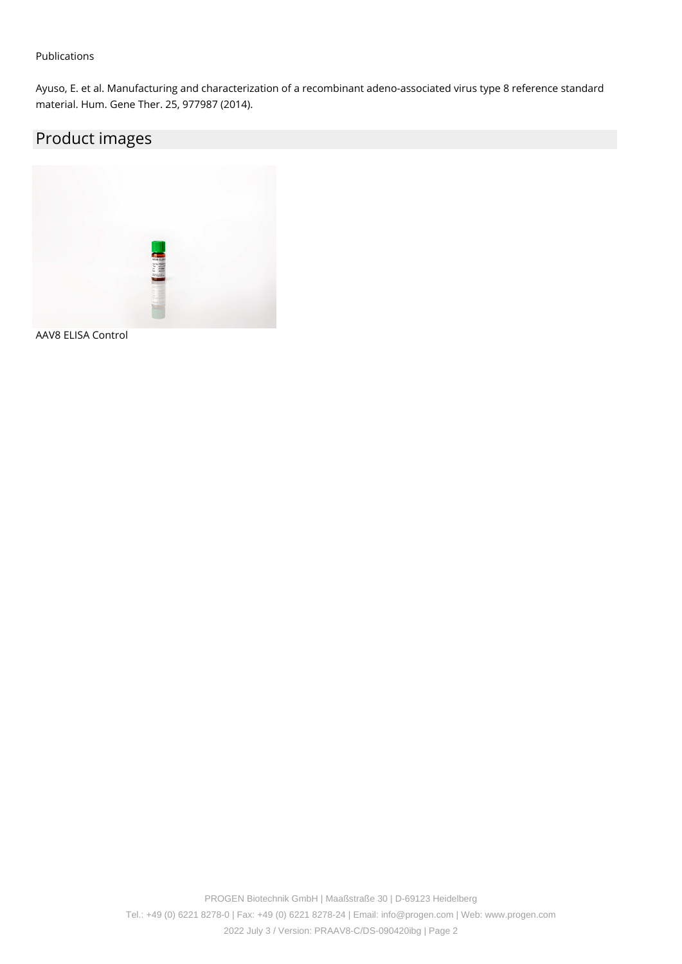#### Publications

Ayuso, E. et al. Manufacturing and characterization of a recombinant adeno-associated virus type 8 reference standard material. Hum. Gene Ther. 25, 977987 (2014).

## Product images



AAV8 ELISA Control